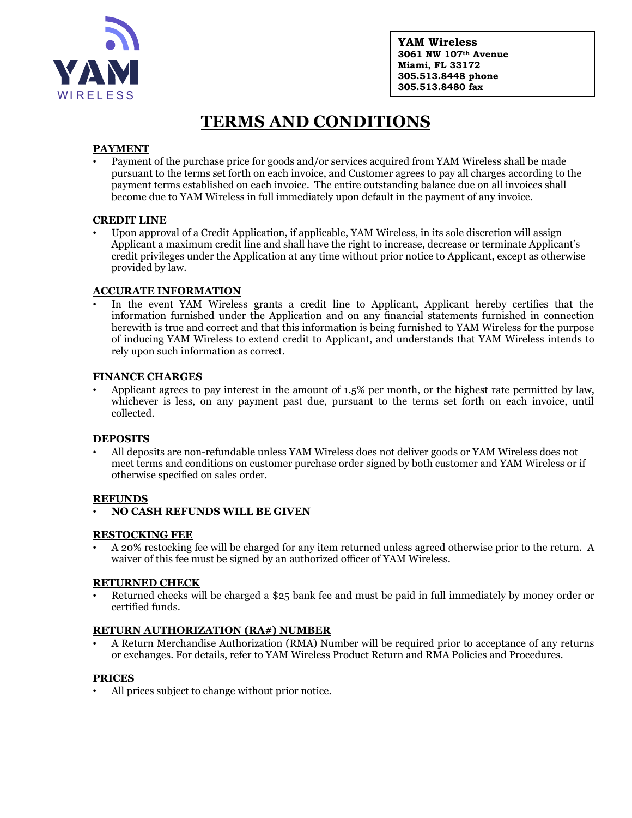

**YAM Wireless 3061 NW 107th Avenue Miami, FL 33172 305.513.8448 phone 305.513.8480 fax**

# **TERMS AND CONDITIONS**

# **PAYMENT**

• Payment of the purchase price for goods and/or services acquired from YAM Wireless shall be made pursuant to the terms set forth on each invoice, and Customer agrees to pay all charges according to the payment terms established on each invoice. The entire outstanding balance due on all invoices shall become due to YAM Wireless in full immediately upon default in the payment of any invoice.

## **CREDIT LINE**

• Upon approval of a Credit Application, if applicable, YAM Wireless, in its sole discretion will assign Applicant a maximum credit line and shall have the right to increase, decrease or terminate Applicant's credit privileges under the Application at any time without prior notice to Applicant, except as otherwise provided by law.

## **ACCURATE INFORMATION**

In the event YAM Wireless grants a credit line to Applicant, Applicant hereby certifies that the information furnished under the Application and on any financial statements furnished in connection herewith is true and correct and that this information is being furnished to YAM Wireless for the purpose of inducing YAM Wireless to extend credit to Applicant, and understands that YAM Wireless intends to rely upon such information as correct.

#### **FINANCE CHARGES**

• Applicant agrees to pay interest in the amount of 1.5% per month, or the highest rate permitted by law, whichever is less, on any payment past due, pursuant to the terms set forth on each invoice, until collected.

#### **DEPOSITS**

• All deposits are non-refundable unless YAM Wireless does not deliver goods or YAM Wireless does not meet terms and conditions on customer purchase order signed by both customer and YAM Wireless or if otherwise specified on sales order.

#### **REFUNDS**

• **NO CASH REFUNDS WILL BE GIVEN**

#### **RESTOCKING FEE**

• A 20% restocking fee will be charged for any item returned unless agreed otherwise prior to the return. A waiver of this fee must be signed by an authorized officer of YAM Wireless.

#### **RETURNED CHECK**

• Returned checks will be charged a \$25 bank fee and must be paid in full immediately by money order or certified funds.

#### **RETURN AUTHORIZATION (RA#) NUMBER**

• A Return Merchandise Authorization (RMA) Number will be required prior to acceptance of any returns or exchanges. For details, refer to YAM Wireless Product Return and RMA Policies and Procedures.

# **PRICES**

• All prices subject to change without prior notice.